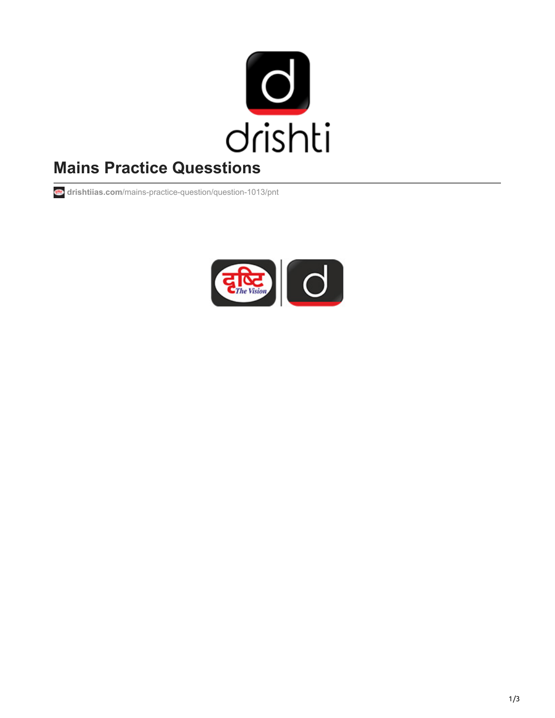

# **Mains Practice Quesstions**

**drishtiias.com**[/mains-practice-question/question-1013/pnt](https://www.drishtiias.com/mains-practice-question/question-1013/pnt)

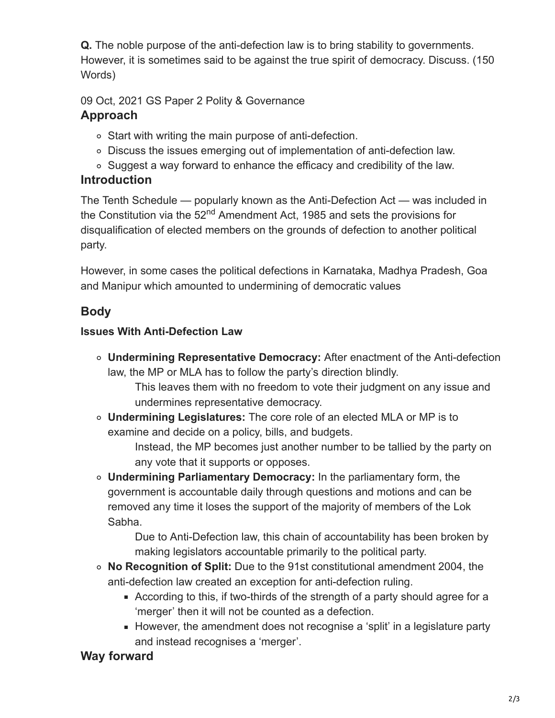**Q.** The noble purpose of the anti-defection law is to bring stability to governments. However, it is sometimes said to be against the true spirit of democracy. Discuss. (150 Words)

09 Oct, 2021 GS Paper 2 Polity & Governance

# **Approach**

- Start with writing the main purpose of anti-defection.
- Discuss the issues emerging out of implementation of anti-defection law.
- Suggest a way forward to enhance the efficacy and credibility of the law.

# **Introduction**

The Tenth Schedule — popularly known as the Anti-Defection Act — was included in the Constitution via the 52<sup>nd</sup> Amendment Act, 1985 and sets the provisions for disqualification of elected members on the grounds of defection to another political party.

However, in some cases the political defections in Karnataka, Madhya Pradesh, Goa and Manipur which amounted to undermining of democratic values

# **Body**

#### **Issues With Anti-Defection Law**

**Undermining Representative Democracy:** After enactment of the Anti-defection law, the MP or MLA has to follow the party's direction blindly.

This leaves them with no freedom to vote their judgment on any issue and undermines representative democracy.

**Undermining Legislatures:** The core role of an elected MLA or MP is to examine and decide on a policy, bills, and budgets.

> Instead, the MP becomes just another number to be tallied by the party on any vote that it supports or opposes.

**Undermining Parliamentary Democracy:** In the parliamentary form, the government is accountable daily through questions and motions and can be removed any time it loses the support of the majority of members of the Lok Sabha.

> Due to Anti-Defection law, this chain of accountability has been broken by making legislators accountable primarily to the political party.

- **No Recognition of Split:** Due to the 91st constitutional amendment 2004, the anti-defection law created an exception for anti-defection ruling.
	- According to this, if two-thirds of the strength of a party should agree for a 'merger' then it will not be counted as a defection.
	- However, the amendment does not recognise a 'split' in a legislature party and instead recognises a 'merger'.

#### **Way forward**